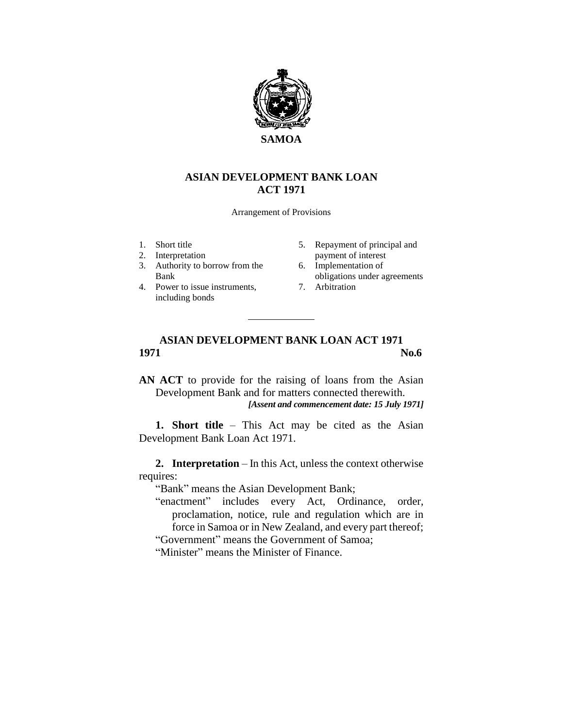

## **ASIAN DEVELOPMENT BANK LOAN ACT 1971**

Arrangement of Provisions

- 1. Short title
- 2. Interpretation
- 3. Authority to borrow from the Bank
- 4. Power to issue instruments, including bonds
- 5. Repayment of principal and payment of interest
- 6. Implementation of obligations under agreements
- 7. Arbitration

## **ASIAN DEVELOPMENT BANK LOAN ACT 1971 1971** No.6

**AN ACT** to provide for the raising of loans from the Asian Development Bank and for matters connected therewith. *[Assent and commencement date: 15 July 1971]*

**1. Short title** – This Act may be cited as the Asian Development Bank Loan Act 1971.

**2. Interpretation** – In this Act, unless the context otherwise requires:

"Bank" means the Asian Development Bank;

- "enactment" includes every Act, Ordinance, order, proclamation, notice, rule and regulation which are in force in Samoa or in New Zealand, and every part thereof; "Government" means the Government of Samoa;
- "Minister" means the Minister of Finance.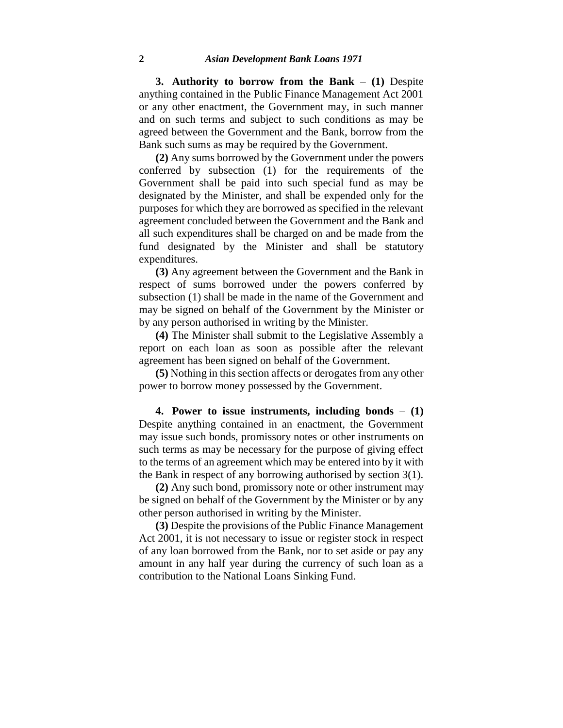**3. Authority to borrow from the Bank** – **(1)** Despite anything contained in the Public Finance Management Act 2001 or any other enactment, the Government may, in such manner and on such terms and subject to such conditions as may be agreed between the Government and the Bank, borrow from the Bank such sums as may be required by the Government.

**(2)** Any sums borrowed by the Government under the powers conferred by subsection (1) for the requirements of the Government shall be paid into such special fund as may be designated by the Minister, and shall be expended only for the purposes for which they are borrowed as specified in the relevant agreement concluded between the Government and the Bank and all such expenditures shall be charged on and be made from the fund designated by the Minister and shall be statutory expenditures.

**(3)** Any agreement between the Government and the Bank in respect of sums borrowed under the powers conferred by subsection (1) shall be made in the name of the Government and may be signed on behalf of the Government by the Minister or by any person authorised in writing by the Minister.

**(4)** The Minister shall submit to the Legislative Assembly a report on each loan as soon as possible after the relevant agreement has been signed on behalf of the Government.

**(5)** Nothing in this section affects or derogates from any other power to borrow money possessed by the Government.

**4. Power to issue instruments, including bonds** – **(1)** Despite anything contained in an enactment, the Government may issue such bonds, promissory notes or other instruments on such terms as may be necessary for the purpose of giving effect to the terms of an agreement which may be entered into by it with the Bank in respect of any borrowing authorised by section 3(1).

**(2)** Any such bond, promissory note or other instrument may be signed on behalf of the Government by the Minister or by any other person authorised in writing by the Minister.

**(3)** Despite the provisions of the Public Finance Management Act 2001, it is not necessary to issue or register stock in respect of any loan borrowed from the Bank, nor to set aside or pay any amount in any half year during the currency of such loan as a contribution to the National Loans Sinking Fund.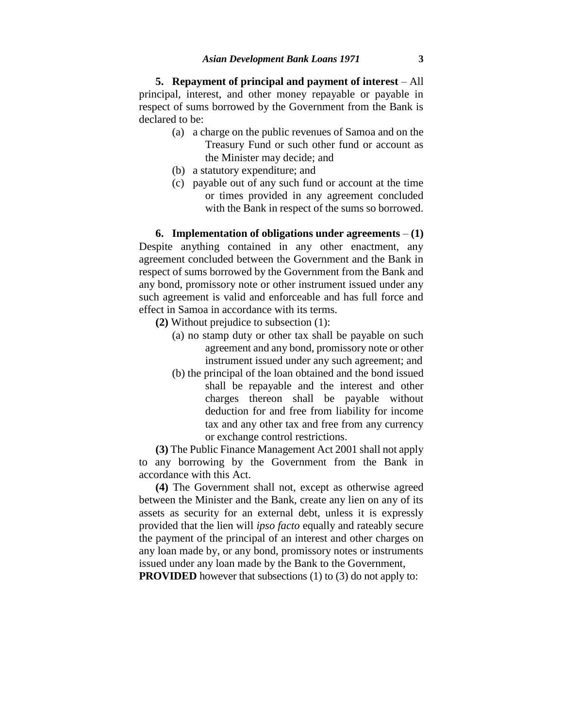**5. Repayment of principal and payment of interest** – All principal, interest, and other money repayable or payable in respect of sums borrowed by the Government from the Bank is declared to be:

- (a) a charge on the public revenues of Samoa and on the Treasury Fund or such other fund or account as the Minister may decide; and
- (b) a statutory expenditure; and
- (c) payable out of any such fund or account at the time or times provided in any agreement concluded with the Bank in respect of the sums so borrowed.

**6. Implementation of obligations under agreements** – **(1)** Despite anything contained in any other enactment, any agreement concluded between the Government and the Bank in respect of sums borrowed by the Government from the Bank and any bond, promissory note or other instrument issued under any such agreement is valid and enforceable and has full force and effect in Samoa in accordance with its terms.

**(2)** Without prejudice to subsection (1):

- (a) no stamp duty or other tax shall be payable on such agreement and any bond, promissory note or other instrument issued under any such agreement; and
- (b) the principal of the loan obtained and the bond issued shall be repayable and the interest and other charges thereon shall be payable without deduction for and free from liability for income tax and any other tax and free from any currency or exchange control restrictions.

**(3)** The Public Finance Management Act 2001 shall not apply to any borrowing by the Government from the Bank in accordance with this Act.

**(4)** The Government shall not, except as otherwise agreed between the Minister and the Bank, create any lien on any of its assets as security for an external debt, unless it is expressly provided that the lien will *ipso facto* equally and rateably secure the payment of the principal of an interest and other charges on any loan made by, or any bond, promissory notes or instruments issued under any loan made by the Bank to the Government,

**PROVIDED** however that subsections (1) to (3) do not apply to: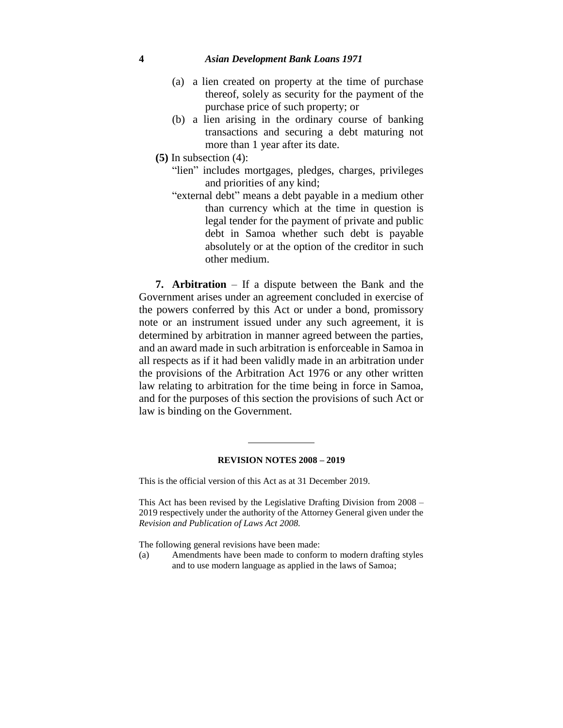## **4** *Asian Development Bank Loans 1971*

- (a) a lien created on property at the time of purchase thereof, solely as security for the payment of the purchase price of such property; or
- (b) a lien arising in the ordinary course of banking transactions and securing a debt maturing not more than 1 year after its date.
- **(5)** In subsection (4):
	- "lien" includes mortgages, pledges, charges, privileges and priorities of any kind;
	- "external debt" means a debt payable in a medium other than currency which at the time in question is legal tender for the payment of private and public debt in Samoa whether such debt is payable absolutely or at the option of the creditor in such other medium.

**7. Arbitration** – If a dispute between the Bank and the Government arises under an agreement concluded in exercise of the powers conferred by this Act or under a bond, promissory note or an instrument issued under any such agreement, it is determined by arbitration in manner agreed between the parties, and an award made in such arbitration is enforceable in Samoa in all respects as if it had been validly made in an arbitration under the provisions of the Arbitration Act 1976 or any other written law relating to arbitration for the time being in force in Samoa, and for the purposes of this section the provisions of such Act or law is binding on the Government.

## **REVISION NOTES 2008 – 2019**

This is the official version of this Act as at 31 December 2019.

This Act has been revised by the Legislative Drafting Division from 2008 – 2019 respectively under the authority of the Attorney General given under the *Revision and Publication of Laws Act 2008.* 

The following general revisions have been made:

(a) Amendments have been made to conform to modern drafting styles and to use modern language as applied in the laws of Samoa;